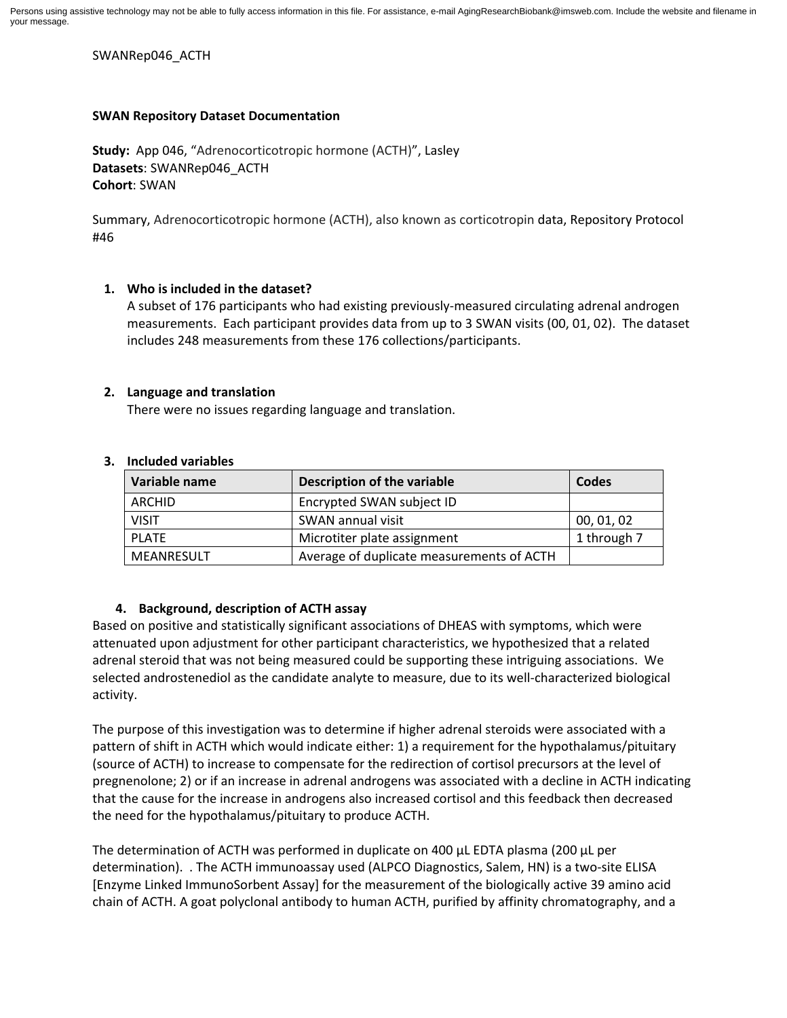Persons using assistive technology may not be able to fully access information in this file. For assistance, e-mail AgingResearchBiobank@imsweb.com. Include the website and filename in your message.

SWANRep046\_ACTH

## **SWAN Repository Dataset Documentation**

**Study:** App 046, "Adrenocorticotropic hormone (ACTH)", Lasley **Datasets**: SWANRep046\_ACTH **Cohort**: SWAN

Summary, Adrenocorticotropic hormone (ACTH), also known as corticotropin data, Repository Protocol #46

## **1. Who is included in the dataset?**

A subset of 176 participants who had existing previously-measured circulating adrenal androgen measurements. Each participant provides data from up to 3 SWAN visits (00, 01, 02). The dataset includes 248 measurements from these 176 collections/participants.

## **2. Language and translation**

There were no issues regarding language and translation.

| Variable name | <b>Description of the variable</b>        | Codes       |
|---------------|-------------------------------------------|-------------|
| ARCHID        | Encrypted SWAN subject ID                 |             |
| <b>VISIT</b>  | SWAN annual visit                         | 00, 01, 02  |
| PLATE         | Microtiter plate assignment               | 1 through 7 |
| MEANRESULT    | Average of duplicate measurements of ACTH |             |

#### **3. Included variables**

# **4. Background, description of ACTH assay**

Based on positive and statistically significant associations of DHEAS with symptoms, which were attenuated upon adjustment for other participant characteristics, we hypothesized that a related adrenal steroid that was not being measured could be supporting these intriguing associations. We selected androstenediol as the candidate analyte to measure, due to its well-characterized biological activity.

The purpose of this investigation was to determine if higher adrenal steroids were associated with a pattern of shift in ACTH which would indicate either: 1) a requirement for the hypothalamus/pituitary (source of ACTH) to increase to compensate for the redirection of cortisol precursors at the level of pregnenolone; 2) or if an increase in adrenal androgens was associated with a decline in ACTH indicating that the cause for the increase in androgens also increased cortisol and this feedback then decreased the need for the hypothalamus/pituitary to produce ACTH.

The determination of ACTH was performed in duplicate on 400 µL EDTA plasma (200 µL per determination). . The ACTH immunoassay used (ALPCO Diagnostics, Salem, HN) is a two-site ELISA [Enzyme Linked ImmunoSorbent Assay] for the measurement of the biologically active 39 amino acid chain of ACTH. A goat polyclonal antibody to human ACTH, purified by affinity chromatography, and a